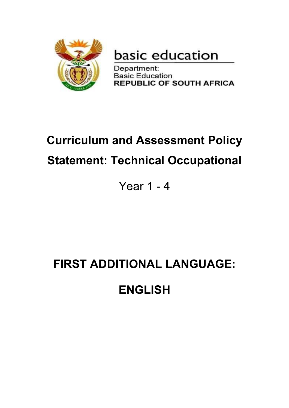

basic education

Department: **Basic Education REPUBLIC OF SOUTH AFRICA** 

# **Curriculum and Assessment Policy Statement: Technical Occupational**

Year 1 - 4

# **FIRST ADDITIONAL LANGUAGE:**

# **ENGLISH**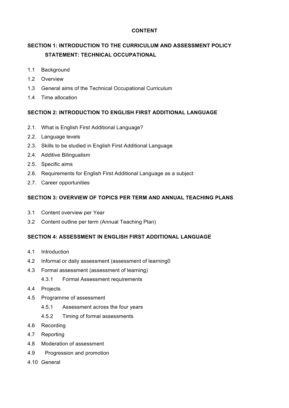#### **CONTENT**

## **SECTION 1: INTRODUCTION TO THE CURRICULUM AND ASSESSMENT POLICY STATEMENT: TECHNICAL OCCUPATIONAL**

- 1.1 Background
- 1.2 Overview
- 1.3 General aims of the Technical Occupational Curriculum
- 1.4 Time allocation

#### **SECTION 2: INTRODUCTION TO ENGLISH FIRST ADDITIONAL LANGUAGE**

- 2.1. What is English First Additional Language?
- 2.2. Language levels
- 2.3. Skills to be studied in English First Additional Language
- 2.4. Additive Bilingualism
- 2.5. Specific aims
- 2.6. Requirements for English First Additional Language as a subject
- 2.7. Career opportunities

#### **SECTION 3: OVERVIEW OF TOPICS PER TERM AND ANNUAL TEACHING PLANS**

- 3.1 Content overview per Year
- 3.2 Content outline per term (Annual Teaching Plan)

#### **SECTION 4: ASSESSMENT IN ENGLISH FIRST ADDITIONAL LANGUAGE**

- 4.1 Introduction
- 4.2 Informal or daily assessment (assessment of learning0
- 4.3 Formal assessment (assessment of learning)
	- 4.3.1 Formal Assessment requirements
- 4.4 Projects
- 4.5 Programme of assessment
	- 4.5.1 Assessment across the four years
	- 4.5.2 Timing of formal assessments
- 4.6 Recording
- 4.7 Reporting
- 4.8 Moderation of assessment
- 4.9 Progression and promotion
- 4.10 General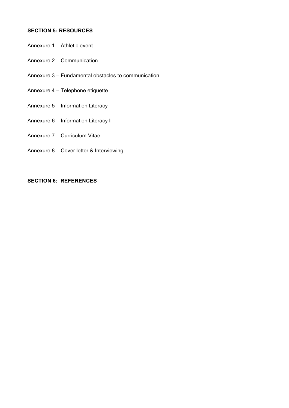#### **SECTION 5: RESOURCES**

- Annexure 1 Athletic event
- Annexure 2 Communication
- Annexure 3 Fundamental obstacles to communication
- Annexure 4 Telephone etiquette
- Annexure 5 Information Literacy
- Annexure 6 Information Literacy ll
- Annexure 7 Curriculum Vitae
- Annexure 8 Cover letter & Interviewing

#### **SECTION 6: REFERENCES**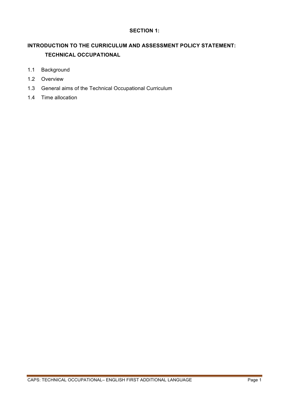#### **SECTION 1:**

### **INTRODUCTION TO THE CURRICULUM AND ASSESSMENT POLICY STATEMENT: TECHNICAL OCCUPATIONAL**

- 1.1 Background
- 1.2 Overview
- 1.3 General aims of the Technical Occupational Curriculum
- 1.4 Time allocation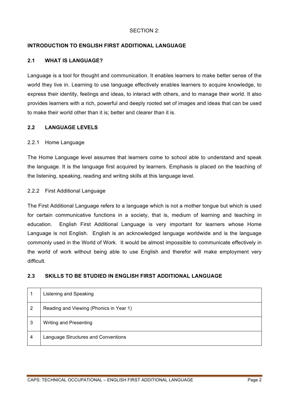#### SECTION 2:

#### **INTRODUCTION TO ENGLISH FIRST ADDITIONAL LANGUAGE**

#### **2.1 WHAT IS LANGUAGE?**

Language is a tool for thought and communication. It enables learners to make better sense of the world they live in. Learning to use language effectively enables learners to acquire knowledge, to express their identity, feelings and ideas, to interact with others, and to manage their world. It also provides learners with a rich, powerful and deeply rooted set of images and ideas that can be used to make their world other than it is; better and clearer than it is.

#### **2.2 LANGUAGE LEVELS**

#### 2.2.1 Home Language

The Home Language level assumes that learners come to school able to understand and speak the language. It is the language first acquired by learners. Emphasis is placed on the teaching of the listening, speaking, reading and writing skills at this language level.

#### 2.2.2 First Additional Language

The First Additional Language refers to a language which is not a mother tongue but which is used for certain communicative functions in a society, that is, medium of learning and teaching in education. English First Additional Language is very important for learners whose Home Language is not English. English is an acknowledged language worldwide and is the language commonly used in the World of Work. It would be almost impossible to communicate effectively in the world of work without being able to use English and therefor will make employment very difficult.

#### **2.3 SKILLS TO BE STUDIED IN ENGLISH FIRST ADDITIONAL LANGUAGE**

|                | Listening and Speaking                  |
|----------------|-----------------------------------------|
| $\overline{2}$ | Reading and Viewing (Phonics in Year 1) |
| 3              | <b>Writing and Presenting</b>           |
| $\overline{4}$ | Language Structures and Conventions     |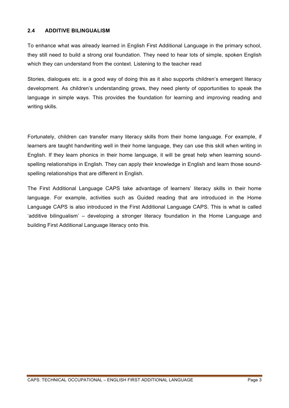#### **2.4 ADDITIVE BILINGUALISM**

To enhance what was already learned in English First Additional Language in the primary school, they still need to build a strong oral foundation. They need to hear lots of simple, spoken English which they can understand from the context. Listening to the teacher read

Stories, dialogues etc. is a good way of doing this as it also supports children's emergent literacy development. As children's understanding grows, they need plenty of opportunities to speak the language in simple ways. This provides the foundation for learning and improving reading and writing skills.

Fortunately, children can transfer many literacy skills from their home language. For example, if learners are taught handwriting well in their home language, they can use this skill when writing in English. If they learn phonics in their home language, it will be great help when learning soundspelling relationships in English. They can apply their knowledge in English and learn those soundspelling relationships that are different in English.

The First Additional Language CAPS take advantage of learners' literacy skills in their home language. For example, activities such as Guided reading that are introduced in the Home Language CAPS is also introduced in the First Additional Language CAPS. This is what is called 'additive bilingualism' – developing a stronger literacy foundation in the Home Language and building First Additional Language literacy onto this.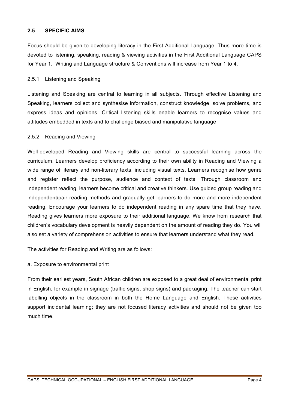#### **2.5 SPECIFIC AIMS**

Focus should be given to developing literacy in the First Additional Language. Thus more time is devoted to listening, speaking, reading & viewing activities in the First Additional Language CAPS for Year 1. Writing and Language structure & Conventions will increase from Year 1 to 4.

#### 2.5.1 Listening and Speaking

Listening and Speaking are central to learning in all subjects. Through effective Listening and Speaking, learners collect and synthesise information, construct knowledge, solve problems, and express ideas and opinions. Critical listening skills enable learners to recognise values and attitudes embedded in texts and to challenge biased and manipulative language

#### 2.5.2 Reading and Viewing

Well-developed Reading and Viewing skills are central to successful learning across the curriculum. Learners develop proficiency according to their own ability in Reading and Viewing a wide range of literary and non-literary texts, including visual texts. Learners recognise how genre and register reflect the purpose, audience and context of texts. Through classroom and independent reading, learners become critical and creative thinkers. Use guided group reading and independent/pair reading methods and gradually get learners to do more and more independent reading. Encourage your learners to do independent reading in any spare time that they have. Reading gives learners more exposure to their additional language. We know from research that children's vocabulary development is heavily dependent on the amount of reading they do. You will also set a variety of comprehension activities to ensure that learners understand what they read.

The activities for Reading and Writing are as follows:

#### a. Exposure to environmental print

From their earliest years, South African children are exposed to a great deal of environmental print in English, for example in signage (traffic signs, shop signs) and packaging. The teacher can start labelling objects in the classroom in both the Home Language and English. These activities support incidental learning; they are not focused literacy activities and should not be given too much time.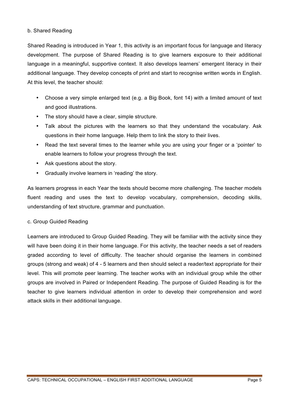#### b. Shared Reading

Shared Reading is introduced in Year 1, this activity is an important focus for language and literacy development. The purpose of Shared Reading is to give learners exposure to their additional language in a meaningful, supportive context. It also develops learners' emergent literacy in their additional language. They develop concepts of print and start to recognise written words in English. At this level, the teacher should:

- Choose a very simple enlarged text (e.g. a Big Book, font 14) with a limited amount of text and good illustrations.
- The story should have a clear, simple structure.
- Talk about the pictures with the learners so that they understand the vocabulary. Ask questions in their home language. Help them to link the story to their lives.
- Read the text several times to the learner while you are using your finger or a 'pointer' to enable learners to follow your progress through the text.
- Ask questions about the story.
- Gradually involve learners in 'reading' the story.

As learners progress in each Year the texts should become more challenging. The teacher models fluent reading and uses the text to develop vocabulary, comprehension, decoding skills, understanding of text structure, grammar and punctuation.

#### c. Group Guided Reading

Learners are introduced to Group Guided Reading. They will be familiar with the activity since they will have been doing it in their home language. For this activity, the teacher needs a set of readers graded according to level of difficulty. The teacher should organise the learners in combined groups (strong and weak) of 4 - 5 learners and then should select a reader/text appropriate for their level. This will promote peer learning. The teacher works with an individual group while the other groups are involved in Paired or Independent Reading. The purpose of Guided Reading is for the teacher to give learners individual attention in order to develop their comprehension and word attack skills in their additional language.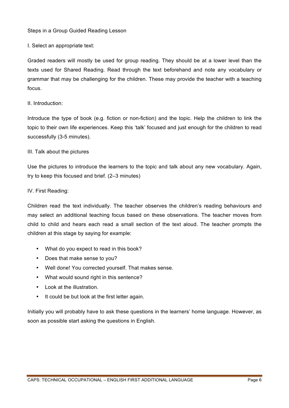#### Steps in a Group Guided Reading Lesson

I. Select an appropriate text:

Graded readers will mostly be used for group reading. They should be at a lower level than the texts used for Shared Reading. Read through the text beforehand and note any vocabulary or grammar that may be challenging for the children. These may provide the teacher with a teaching focus.

#### II. Introduction:

Introduce the type of book (e.g. fiction or non-fiction) and the topic. Help the children to link the topic to their own life experiences. Keep this 'talk' focused and just enough for the children to read successfully (3-5 minutes).

#### III. Talk about the pictures

Use the pictures to introduce the learners to the topic and talk about any new vocabulary. Again, try to keep this focused and brief. (2–3 minutes)

#### IV. First Reading:

Children read the text individually. The teacher observes the children's reading behaviours and may select an additional teaching focus based on these observations. The teacher moves from child to child and hears each read a small section of the text aloud. The teacher prompts the children at this stage by saying for example:

- What do you expect to read in this book?
- Does that make sense to you?
- Well done! You corrected yourself. That makes sense.
- What would sound right in this sentence?
- Look at the illustration.
- It could be but look at the first letter again.

Initially you will probably have to ask these questions in the learners' home language. However, as soon as possible start asking the questions in English.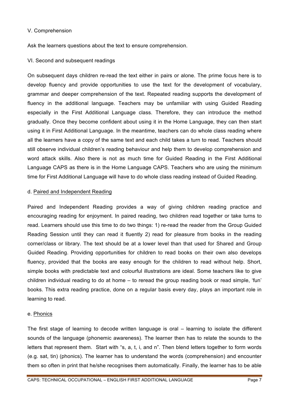#### V. Comprehension

Ask the learners questions about the text to ensure comprehension.

#### VI. Second and subsequent readings

On subsequent days children re-read the text either in pairs or alone. The prime focus here is to develop fluency and provide opportunities to use the text for the development of vocabulary, grammar and deeper comprehension of the text. Repeated reading supports the development of fluency in the additional language. Teachers may be unfamiliar with using Guided Reading especially in the First Additional Language class. Therefore, they can introduce the method gradually. Once they become confident about using it in the Home Language, they can then start using it in First Additional Language. In the meantime, teachers can do whole class reading where all the learners have a copy of the same text and each child takes a turn to read. Teachers should still observe individual children's reading behaviour and help them to develop comprehension and word attack skills. Also there is not as much time for Guided Reading in the First Additional Language CAPS as there is in the Home Language CAPS. Teachers who are using the minimum time for First Additional Language will have to do whole class reading instead of Guided Reading.

#### d. Paired and Independent Reading

Paired and Independent Reading provides a way of giving children reading practice and encouraging reading for enjoyment. In paired reading, two children read together or take turns to read. Learners should use this time to do two things: 1) re-read the reader from the Group Guided Reading Session until they can read it fluently 2) read for pleasure from books in the reading corner/class or library. The text should be at a lower level than that used for Shared and Group Guided Reading. Providing opportunities for children to read books on their own also develops fluency, provided that the books are easy enough for the children to read without help. Short, simple books with predictable text and colourful illustrations are ideal. Some teachers like to give children individual reading to do at home – to reread the group reading book or read simple, 'fun' books. This extra reading practice, done on a regular basis every day, plays an important role in learning to read.

#### e. Phonics

The first stage of learning to decode written language is oral – learning to isolate the different sounds of the language (phonemic awareness). The learner then has to relate the sounds to the letters that represent them. Start with "s, a, t, i, and n". Then blend letters together to form words (e.g. sat, tin) (phonics). The learner has to understand the words (comprehension) and encounter them so often in print that he/she recognises them automatically. Finally, the learner has to be able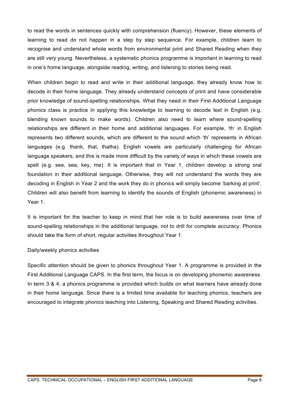to read the words in sentences quickly with comprehension (fluency). However, these elements of learning to read do not happen in a step by step sequence. For example, children learn to recognise and understand whole words from environmental print and Shared Reading when they are still very young. Nevertheless, a systematic phonics programme is important in learning to read in one's home language, alongside reading, writing, and listening to stories being read.

When children begin to read and write in their additional language, they already know how to decode in their home language. They already understand concepts of print and have considerable prior knowledge of sound-spelling relationships. What they need in their First Additional Language phonics class is practice in applying this knowledge to learning to decode text in English (e.g. blending known sounds to make words). Children also need to learn where sound-spelling relationships are different in their home and additional languages. For example, 'th' in English represents two different sounds, which are different to the sound which 'th' represents in African languages (e.g. thank, that, thatha). English vowels are particularly challenging for African language speakers, and this is made more difficult by the variety of ways in which these vowels are spelt (e.g. see, sea, key, me). It is important that in Year 1, children develop a strong oral foundation in their additional language. Otherwise, they will not understand the words they are decoding in English in Year 2 and the work they do in phonics will simply become 'barking at print'. Children will also benefit from learning to identify the sounds of English (phonemic awareness) in Year 1.

It is important for the teacher to keep in mind that her role is to build awareness over time of sound-spelling relationships in the additional language, not to drill for complete accuracy. Phonics should take the form of short, regular activities throughout Year 1.

#### Daily/weekly phonics activities

Specific attention should be given to phonics throughout Year 1. A programme is provided in the First Additional Language CAPS. In the first term, the focus is on developing phonemic awareness. In term 3 & 4, a phonics programme is provided which builds on what learners have already done in their home language. Since there is a limited time available for teaching phonics, teachers are encouraged to integrate phonics teaching into Listening, Speaking and Shared Reading activities.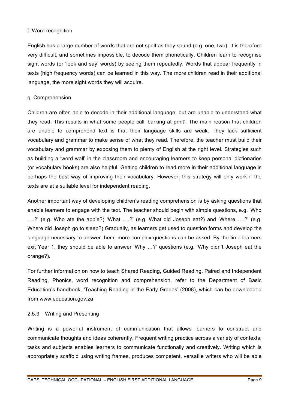#### f. Word recognition

English has a large number of words that are not spelt as they sound (e.g. one, two). It is therefore very difficult, and sometimes impossible, to decode them phonetically. Children learn to recognise sight words (or 'look and say' words) by seeing them repeatedly. Words that appear frequently in texts (high frequency words) can be learned in this way. The more children read in their additional language, the more sight words they will acquire.

#### g. Comprehension

Children are often able to decode in their additional language, but are unable to understand what they read. This results in what some people call 'barking at print'. The main reason that children are unable to comprehend text is that their language skills are weak. They lack sufficient vocabulary and grammar to make sense of what they read. Therefore, the teacher must build their vocabulary and grammar by exposing them to plenty of English at the right level. Strategies such as building a 'word wall' in the classroom and encouraging learners to keep personal dictionaries (or vocabulary books) are also helpful. Getting children to read more in their additional language is perhaps the best way of improving their vocabulary. However, this strategy will only work if the texts are at a suitable level for independent reading.

Another important way of developing children's reading comprehension is by asking questions that enable learners to engage with the text. The teacher should begin with simple questions, e.g. 'Who ….?' (e.g. Who ate the apple?) 'What ….?' (e.g. What did Joseph eat?) and 'Where ….?' (e.g. Where did Joseph go to sleep?) Gradually, as learners get used to question forms and develop the language necessary to answer them, more complex questions can be asked. By the time learners exit Year 1, they should be able to answer 'Why …?' questions (e.g. 'Why didn't Joseph eat the orange?).

For further information on how to teach Shared Reading, Guided Reading, Paired and Independent Reading, Phonics, word recognition and comprehension, refer to the Department of Basic Education's handbook, 'Teaching Reading in the Early Grades' (2008), which can be downloaded from www.education.gov.za

#### 2.5.3 Writing and Presenting

Writing is a powerful instrument of communication that allows learners to construct and communicate thoughts and ideas coherently. Frequent writing practice across a variety of contexts, tasks and subjects enables learners to communicate functionally and creatively. Writing which is appropriately scaffold using writing frames, produces competent, versatile writers who will be able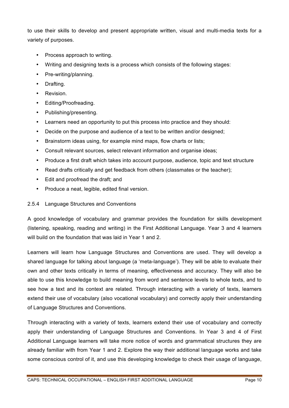to use their skills to develop and present appropriate written, visual and multi-media texts for a variety of purposes.

- Process approach to writing.
- Writing and designing texts is a process which consists of the following stages:
- Pre-writing/planning.
- Drafting.
- Revision.
- Editing/Proofreading.
- Publishing/presenting.
- Learners need an opportunity to put this process into practice and they should:
- Decide on the purpose and audience of a text to be written and/or designed;
- Brainstorm ideas using, for example mind maps, flow charts or lists;
- Consult relevant sources, select relevant information and organise ideas;
- Produce a first draft which takes into account purpose, audience, topic and text structure
- Read drafts critically and get feedback from others (classmates or the teacher);
- Edit and proofread the draft; and
- Produce a neat, legible, edited final version.

#### 2.5.4 Language Structures and Conventions

A good knowledge of vocabulary and grammar provides the foundation for skills development (listening, speaking, reading and writing) in the First Additional Language. Year 3 and 4 learners will build on the foundation that was laid in Year 1 and 2.

Learners will learn how Language Structures and Conventions are used. They will develop a shared language for talking about language (a 'meta-language'). They will be able to evaluate their own and other texts critically in terms of meaning, effectiveness and accuracy. They will also be able to use this knowledge to build meaning from word and sentence levels to whole texts, and to see how a text and its context are related. Through interacting with a variety of texts, learners extend their use of vocabulary (also vocational vocabulary) and correctly apply their understanding of Language Structures and Conventions.

Through interacting with a variety of texts, learners extend their use of vocabulary and correctly apply their understanding of Language Structures and Conventions. In Year 3 and 4 of First Additional Language learners will take more notice of words and grammatical structures they are already familiar with from Year 1 and 2. Explore the way their additional language works and take some conscious control of it, and use this developing knowledge to check their usage of language,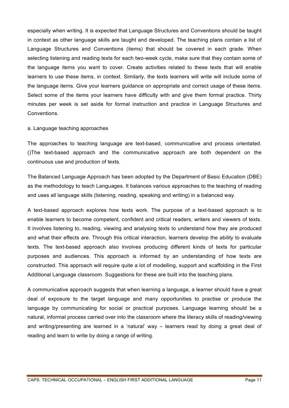especially when writing. It is expected that Language Structures and Conventions should be taught in context as other language skills are taught and developed. The teaching plans contain a list of Language Structures and Conventions (items) that should be covered in each grade. When selecting listening and reading texts for each two-week cycle, make sure that they contain some of the language items you want to cover. Create activities related to these texts that will enable learners to use these items, in context. Similarly, the texts learners will write will include some of the language items. Give your learners guidance on appropriate and correct usage of these items. Select some of the items your learners have difficulty with and give them formal practice. Thirty minutes per week is set aside for formal instruction and practice in Language Structures and Conventions.

#### a. Language teaching approaches

The approaches to teaching language are text-based, communicative and process orientated. ()The text-based approach and the communicative approach are both dependent on the continuous use and production of texts.

The Balanced Language Approach has been adopted by the Department of Basic Education (DBE) as the methodology to teach Languages. It balances various approaches to the teaching of reading and uses all language skills (listening, reading, speaking and writing) in a balanced way.

A text-based approach explores how texts work. The purpose of a text-based approach is to enable learners to become competent, confident and critical readers, writers and viewers of texts. It involves listening to, reading, viewing and analysing texts to understand how they are produced and what their effects are. Through this critical interaction, learners develop the ability to evaluate texts. The text-based approach also involves producing different kinds of texts for particular purposes and audiences. This approach is informed by an understanding of how texts are constructed. This approach will require quite a lot of modelling, support and scaffolding in the First Additional Language classroom. Suggestions for these are built into the teaching plans.

A communicative approach suggests that when learning a language, a learner should have a great deal of exposure to the target language and many opportunities to practise or produce the language by communicating for social or practical purposes. Language learning should be a natural, informal process carried over into the classroom where the literacy skills of reading/viewing and writing/presenting are learned in a 'natural' way – learners read by doing a great deal of reading and learn to write by doing a range of writing.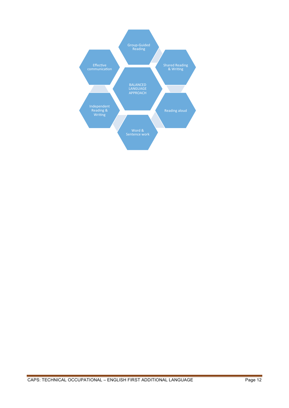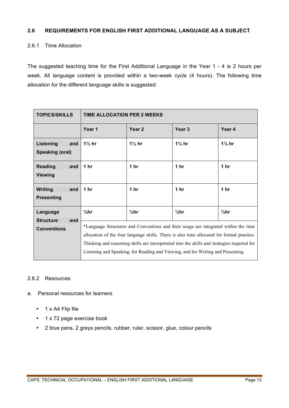#### **2.6 REQUIREMENTS FOR ENGLISH FIRST ADDITIONAL LANGUAGE AS A SUBJECT**

#### 2.6.1 Time Allocation

The suggested teaching time for the First Additional Language in the Year 1 - 4 is 2 hours per week. All language content is provided within a two-week cycle (4 hours). The following time allocation for the different language skills is suggested:

| <b>TOPICS/SKILLS</b>                       | <b>TIME ALLOCATION PER 2 WEEKS</b>                                                                                                                                                                                                                                                                                                                                 |                   |                   |                 |
|--------------------------------------------|--------------------------------------------------------------------------------------------------------------------------------------------------------------------------------------------------------------------------------------------------------------------------------------------------------------------------------------------------------------------|-------------------|-------------------|-----------------|
|                                            | Year 1                                                                                                                                                                                                                                                                                                                                                             | Year <sub>2</sub> | Year <sub>3</sub> | Year 4          |
| Listening<br>and<br><b>Speaking (oral)</b> | $1\frac{1}{2}$ hr                                                                                                                                                                                                                                                                                                                                                  | $1\frac{1}{2}$ hr | $1\frac{1}{2}$ hr | $1\%$ hr        |
| <b>Reading</b><br>and<br><b>Viewing</b>    | 1 <sub>hr</sub>                                                                                                                                                                                                                                                                                                                                                    | 1 <sub>hr</sub>   | 1 $hr$            | 1 <sub>hr</sub> |
| <b>Writing</b><br>and<br><b>Presenting</b> | 1 $hr$                                                                                                                                                                                                                                                                                                                                                             | 1 <sub>hr</sub>   | 1 <sub>hr</sub>   | 1 <sub>hr</sub> |
| Language<br><b>Structure</b><br>and        | $\frac{1}{2}$ hr                                                                                                                                                                                                                                                                                                                                                   | $1/2$ hr          | $\frac{1}{2}$ hr  | $1/2$ hr        |
| <b>Conventions</b>                         | *Language Structures and Conventions and their usage are integrated within the time<br>allocation of the four language skills. There is also time allocated for formal practice.<br>Thinking and reasoning skills are incorporated into the skills and strategies required for<br>Listening and Speaking, for Reading and Viewing, and for Writing and Presenting. |                   |                   |                 |

#### 2.6.2 Resources

- a. Personal resources for learners
	- 1 x A4 Flip file
	- 1 x 72 page exercise book
	- 2 blue pens, 2 greys pencils, rubber, ruler, scissor, glue, colour pencils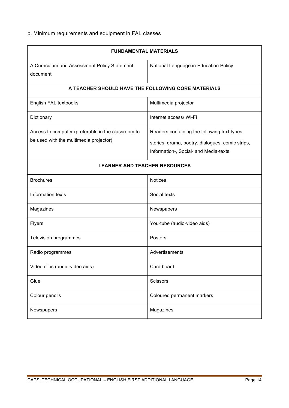### b. Minimum requirements and equipment in FAL classes

| <b>FUNDAMENTAL MATERIALS</b>                                                                 |                                                                                                                                           |  |  |  |  |
|----------------------------------------------------------------------------------------------|-------------------------------------------------------------------------------------------------------------------------------------------|--|--|--|--|
| A Curriculum and Assessment Policy Statement<br>document                                     | National Language in Education Policy                                                                                                     |  |  |  |  |
| A TEACHER SHOULD HAVE THE FOLLOWING CORE MATERIALS                                           |                                                                                                                                           |  |  |  |  |
| English FAL textbooks                                                                        | Multimedia projector                                                                                                                      |  |  |  |  |
| Dictionary                                                                                   | Internet access/ Wi-Fi                                                                                                                    |  |  |  |  |
| Access to computer (preferable in the classroom to<br>be used with the multimedia projector) | Readers containing the following text types:<br>stories, drama, poetry, dialogues, comic strips,<br>Information-, Social- and Media-texts |  |  |  |  |
| <b>LEARNER AND TEACHER RESOURCES</b>                                                         |                                                                                                                                           |  |  |  |  |
| <b>Brochures</b>                                                                             | <b>Notices</b>                                                                                                                            |  |  |  |  |
| Information texts                                                                            | Social texts                                                                                                                              |  |  |  |  |
| Magazines                                                                                    | Newspapers                                                                                                                                |  |  |  |  |
| Flyers                                                                                       | You-tube (audio-video aids)                                                                                                               |  |  |  |  |
| Television programmes                                                                        | Posters                                                                                                                                   |  |  |  |  |
| Radio programmes                                                                             | Advertisements                                                                                                                            |  |  |  |  |
| Video clips (audio-video aids)                                                               | Card board                                                                                                                                |  |  |  |  |
| Glue                                                                                         | Scissors                                                                                                                                  |  |  |  |  |
| Colour pencils                                                                               | Coloured permanent markers                                                                                                                |  |  |  |  |
| Newspapers                                                                                   | Magazines                                                                                                                                 |  |  |  |  |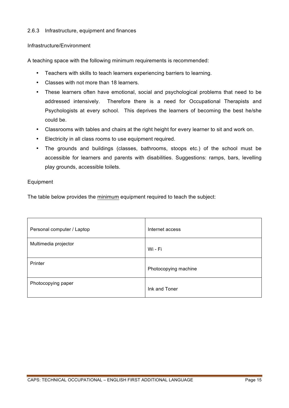#### 2.6.3 Infrastructure, equipment and finances

#### Infrastructure/Environment

A teaching space with the following minimum requirements is recommended:

- Teachers with skills to teach learners experiencing barriers to learning.
- Classes with not more than 18 learners.
- These learners often have emotional, social and psychological problems that need to be addressed intensively. Therefore there is a need for Occupational Therapists and Psychologists at every school. This deprives the learners of becoming the best he/she could be.
- Classrooms with tables and chairs at the right height for every learner to sit and work on.
- Electricity in all class rooms to use equipment required.
- The grounds and buildings (classes, bathrooms, stoops etc.) of the school must be accessible for learners and parents with disabilities. Suggestions: ramps, bars, levelling play grounds, accessible toilets.

#### Equipment

The table below provides the minimum equipment required to teach the subject:

| Personal computer / Laptop | Internet access      |
|----------------------------|----------------------|
| Multimedia projector       | Wi - Fi              |
| Printer                    | Photocopying machine |
| Photocopying paper         | Ink and Toner        |